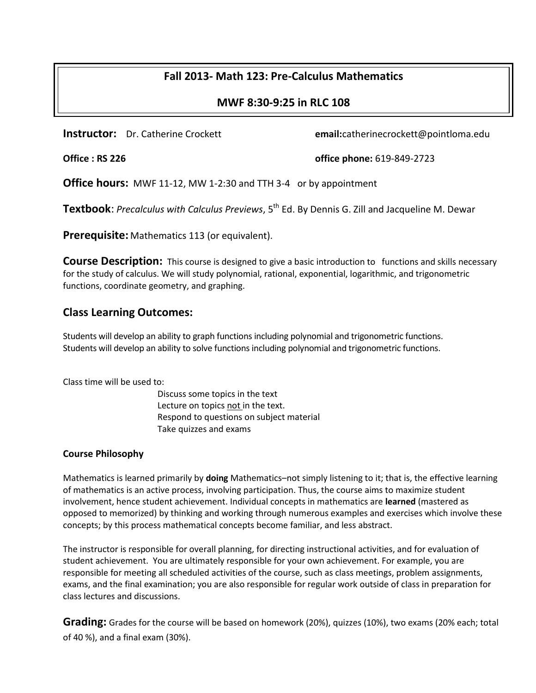# **Fall 2013- Math 123: Pre-Calculus Mathematics**

## **MWF 8:30-9:25 in RLC 108**

**Instructor:** Dr. Catherine Crockett **email:**catherinecrockett@pointloma.edu

**Office : RS 226 office phone:** 619-849-2723

**Office hours:** MWF 11-12, MW 1-2:30 and TTH 3-4 or by appointment

**Textbook**: *Precalculus with Calculus Previews*, 5th Ed. By Dennis G. Zill and Jacqueline M. Dewar

**Prerequisite:** Mathematics 113 (or equivalent).

**Course Description:** This course is designed to give a basic introduction to functions and skills necessary for the study of calculus. We will study polynomial, rational, exponential, logarithmic, and trigonometric functions, coordinate geometry, and graphing.

## **Class Learning Outcomes:**

Students will develop an ability to graph functions including polynomial and trigonometric functions. Students will develop an ability to solve functions including polynomial and trigonometric functions.

Class time will be used to:

Discuss some topics in the text Lecture on topics not in the text. Respond to questions on subject material Take quizzes and exams

### **Course Philosophy**

Mathematics is learned primarily by **doing** Mathematics–not simply listening to it; that is, the effective learning of mathematics is an active process, involving participation. Thus, the course aims to maximize student involvement, hence student achievement. Individual concepts in mathematics are **learned** (mastered as opposed to memorized) by thinking and working through numerous examples and exercises which involve these concepts; by this process mathematical concepts become familiar, and less abstract.

The instructor is responsible for overall planning, for directing instructional activities, and for evaluation of student achievement. You are ultimately responsible for your own achievement. For example, you are responsible for meeting all scheduled activities of the course, such as class meetings, problem assignments, exams, and the final examination; you are also responsible for regular work outside of class in preparation for class lectures and discussions.

**Grading:** Grades for the course will be based on homework (20%), quizzes (10%), two exams (20% each; total of 40 %), and a final exam (30%).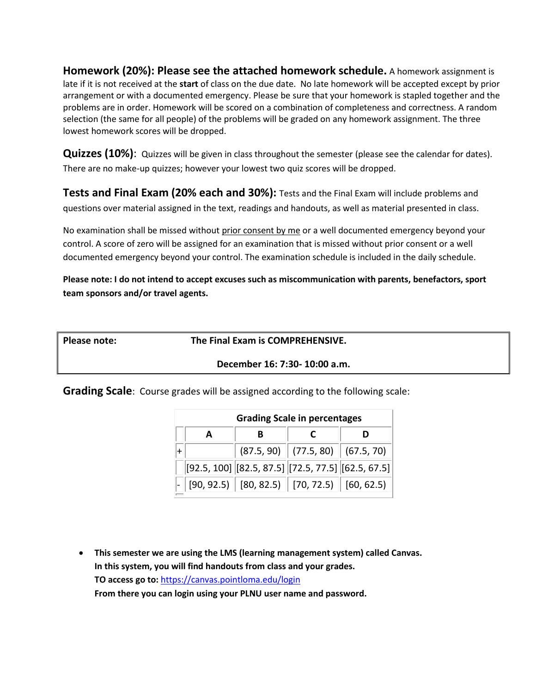**Homework (20%): Please see the attached homework schedule.** A homework assignment is late if it is not received at the **start** of class on the due date. No late homework will be accepted except by prior arrangement or with a documented emergency. Please be sure that your homework is stapled together and the problems are in order. Homework will be scored on a combination of completeness and correctness. A random selection (the same for all people) of the problems will be graded on any homework assignment. The three lowest homework scores will be dropped.

**Quizzes (10%)**: Quizzes will be given in class throughout the semester (please see the calendar for dates). There are no make-up quizzes; however your lowest two quiz scores will be dropped.

**Tests and Final Exam (20% each and 30%):** Tests and the Final Exam will include problems and questions over material assigned in the text, readings and handouts, as well as material presented in class.

No examination shall be missed without prior consent by me or a well documented emergency beyond your control. A score of zero will be assigned for an examination that is missed without prior consent or a well documented emergency beyond your control. The examination schedule is included in the daily schedule.

**Please note: I do not intend to accept excuses such as miscommunication with parents, benefactors, sport team sponsors and/or travel agents.**

**Please note: The Final Exam is COMPREHENSIVE.**

### **December 16: 7:30- 10:00 a.m.**

**Grading Scale**: Course grades will be assigned according to the following scale:

| <b>Grading Scale in percentages</b> |  |  |                                                                                                                      |  |
|-------------------------------------|--|--|----------------------------------------------------------------------------------------------------------------------|--|
| A                                   |  |  | D                                                                                                                    |  |
|                                     |  |  | $(87.5, 90)$ $(77.5, 80)$ $(67.5, 70)$                                                                               |  |
|                                     |  |  | $[92.5, 100]$ $[82.5, 87.5]$ $[72.5, 77.5]$ $[62.5, 67.5]$                                                           |  |
|                                     |  |  | $\vert\text{-}\vert$ [90, 92.5) $\vert\vert$ [80, 82.5) $\vert\vert$ [70, 72.5) $\vert\vert$ [60, 62.5) $\vert\vert$ |  |

 **This semester we are using the LMS (learning management system) called Canvas. In this system, you will find handouts from class and your grades. TO access go to:** <https://canvas.pointloma.edu/login> **From there you can login using your PLNU user name and password.**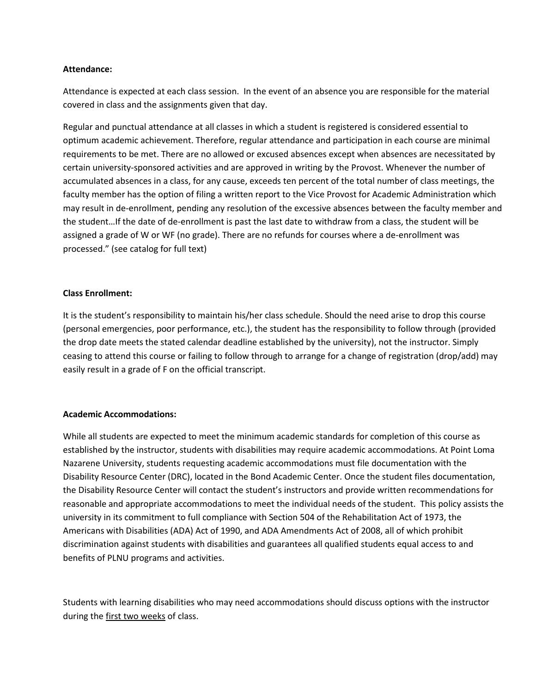#### **Attendance:**

Attendance is expected at each class session. In the event of an absence you are responsible for the material covered in class and the assignments given that day.

Regular and punctual attendance at all classes in which a student is registered is considered essential to optimum academic achievement. Therefore, regular attendance and participation in each course are minimal requirements to be met. There are no allowed or excused absences except when absences are necessitated by certain university-sponsored activities and are approved in writing by the Provost. Whenever the number of accumulated absences in a class, for any cause, exceeds ten percent of the total number of class meetings, the faculty member has the option of filing a written report to the Vice Provost for Academic Administration which may result in de-enrollment, pending any resolution of the excessive absences between the faculty member and the student…If the date of de-enrollment is past the last date to withdraw from a class, the student will be assigned a grade of W or WF (no grade). There are no refunds for courses where a de-enrollment was processed." (see catalog for full text)

#### **Class Enrollment:**

It is the student's responsibility to maintain his/her class schedule. Should the need arise to drop this course (personal emergencies, poor performance, etc.), the student has the responsibility to follow through (provided the drop date meets the stated calendar deadline established by the university), not the instructor. Simply ceasing to attend this course or failing to follow through to arrange for a change of registration (drop/add) may easily result in a grade of F on the official transcript.

#### **Academic Accommodations:**

While all students are expected to meet the minimum academic standards for completion of this course as established by the instructor, students with disabilities may require academic accommodations. At Point Loma Nazarene University, students requesting academic accommodations must file documentation with the Disability Resource Center (DRC), located in the Bond Academic Center. Once the student files documentation, the Disability Resource Center will contact the student's instructors and provide written recommendations for reasonable and appropriate accommodations to meet the individual needs of the student. This policy assists the university in its commitment to full compliance with Section 504 of the Rehabilitation Act of 1973, the Americans with Disabilities (ADA) Act of 1990, and ADA Amendments Act of 2008, all of which prohibit discrimination against students with disabilities and guarantees all qualified students equal access to and benefits of PLNU programs and activities.

Students with learning disabilities who may need accommodations should discuss options with the instructor during the first two weeks of class.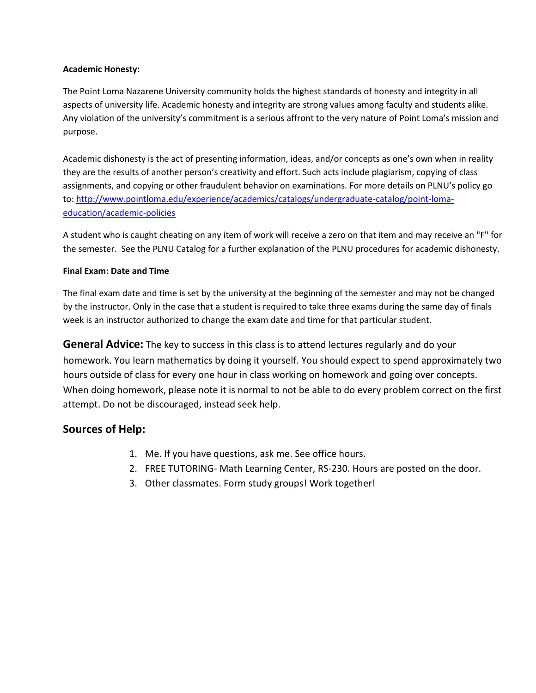#### **Academic Honesty:**

The Point Loma Nazarene University community holds the highest standards of honesty and integrity in all aspects of university life. Academic honesty and integrity are strong values among faculty and students alike. Any violation of the university's commitment is a serious affront to the very nature of Point Loma's mission and purpose.

Academic dishonesty is the act of presenting information, ideas, and/or concepts as one's own when in reality they are the results of another person's creativity and effort. Such acts include plagiarism, copying of class assignments, and copying or other fraudulent behavior on examinations. For more details on PLNU's policy go to: [http://www.pointloma.edu/experience/academics/catalogs/undergraduate-catalog/point-loma](http://www.pointloma.edu/experience/academics/catalogs/undergraduate-catalog/point-loma-education/academic-policies)[education/academic-policies](http://www.pointloma.edu/experience/academics/catalogs/undergraduate-catalog/point-loma-education/academic-policies)

A student who is caught cheating on any item of work will receive a zero on that item and may receive an "F" for the semester. See the PLNU Catalog for a further explanation of the PLNU procedures for academic dishonesty.

#### **Final Exam: Date and Time**

The final exam date and time is set by the university at the beginning of the semester and may not be changed by the instructor. Only in the case that a student is required to take three exams during the same day of finals week is an instructor authorized to change the exam date and time for that particular student.

**General Advice:** The key to success in this class is to attend lectures regularly and do your homework. You learn mathematics by doing it yourself. You should expect to spend approximately two hours outside of class for every one hour in class working on homework and going over concepts. When doing homework, please note it is normal to not be able to do every problem correct on the first attempt. Do not be discouraged, instead seek help.

## **Sources of Help:**

- 1. Me. If you have questions, ask me. See office hours.
- 2. FREE TUTORING- Math Learning Center, RS-230. Hours are posted on the door.
- 3. Other classmates. Form study groups! Work together!